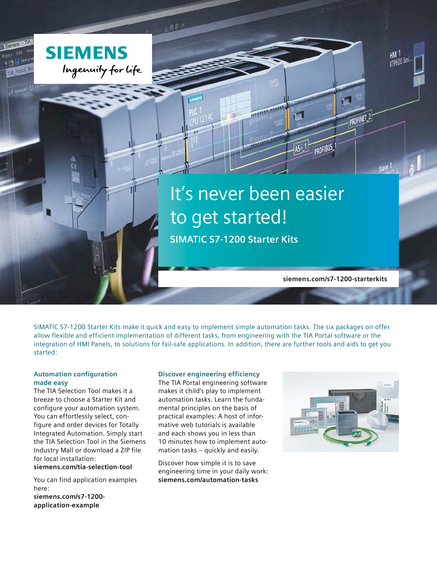

 $nR$ 

# It's never been easier to get started!

122222 2222

**SIMATIC S7-1200 Starter Kits**

**siemens.com/s7-1200-starterkits**

 $\blacksquare$ 

PROFIBUS

PROFINET<sub>2</sub>

**KTP600 Bas** 

SIMATIC S7-1200 Starter Kits make it quick and easy to implement simple automation tasks. The six packages on offer allow flexible and efficient implementation of different tasks, from engineering with the TIA Portal software or the integration of HMI Panels, to solutions for fail-safe applications. In addition, there are further tools and aids to get you started:

#### **Automation configuration made easy**

The TIA Selection Tool makes it a breeze to choose a Starter Kit and configure your automation system. You can effortlessly select, configure and order devices for Totally Integrated Automation. Simply start the TIA Selection Tool in the Siemens Industry Mall or download a ZIP file for local installation:

**siemens.com/tia-selection-tool**

You can find application examples here: **siemens.com/s7-1200 application-example**

#### **Discover engineering efficiency**

The TIA Portal engineering software makes it child's play to implement automation tasks. Learn the fundamental principles on the basis of practical examples: A host of informative web tutorials is available and each shows you in less than 10 minutes how to implement automation tasks – quickly and easily.

Discover how simple it is to save engineering time in your daily work: **siemens.com/automation-tasks**